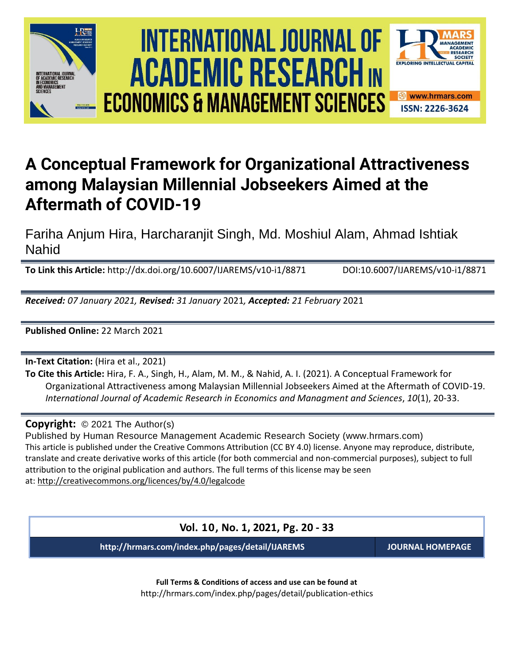





## **A Conceptual Framework for Organizational Attractiveness among Malaysian Millennial Jobseekers Aimed at the Aftermath of COVID-19**

Fariha Anjum Hira, Harcharanjit Singh, Md. Moshiul Alam, Ahmad Ishtiak Nahid

**To Link this Article:** http://dx.doi.org/10.6007/IJAREMS/v10-i1/8871 DOI:10.6007/IJAREMS/v10-i1/8871

*Received: 07 January 2021, Revised: 31 January* 2021*, Accepted: 21 February* 2021

**Published Online:** 22 March 2021

**In-Text Citation:** (Hira et al., 2021)

**To Cite this Article:** Hira, F. A., Singh, H., Alam, M. M., & Nahid, A. I. (2021). A Conceptual Framework for Organizational Attractiveness among Malaysian Millennial Jobseekers Aimed at the Aftermath of COVID-19. *International Journal of Academic Research in Economics and Managment and Sciences*, *10*(1), 20-33.

**Copyright:** © 2021 The Author(s)

Published by Human Resource Management Academic Research Society (www.hrmars.com) This article is published under the Creative Commons Attribution (CC BY 4.0) license. Anyone may reproduce, distribute, translate and create derivative works of this article (for both commercial and non-commercial purposes), subject to full attribution to the original publication and authors. The full terms of this license may be seen at: <http://creativecommons.org/licences/by/4.0/legalcode>

**Vol. 10, No. 1, 2021, Pg. 20 - 33**

**http://hrmars.com/index.php/pages/detail/IJAREMS JOURNAL HOMEPAGE**

**Full Terms & Conditions of access and use can be found at** http://hrmars.com/index.php/pages/detail/publication-ethics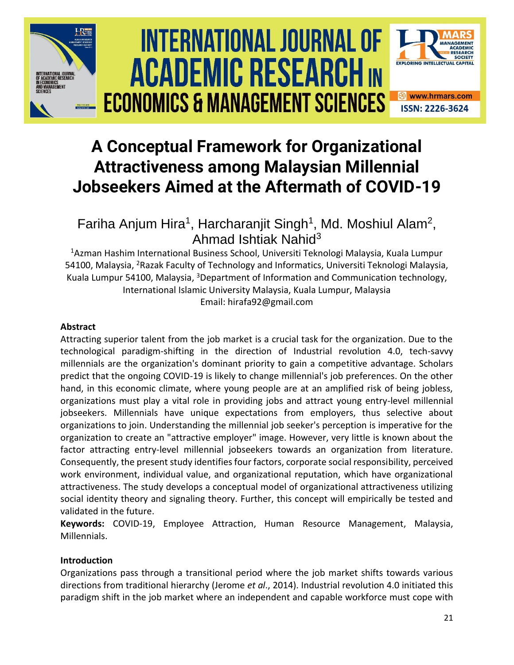

# International Journal of Academic Research economics and management sciences **Vol. 1 0 , No. 1, 2020, E-ISSN: 2226-3624 © 2020 HRMARS ACADEMIC RESEARCH IN ECONOMICS & MANAGEMENT SCIENCES**



## **A Conceptual Framework for Organizational Attractiveness among Malaysian Millennial Jobseekers Aimed at the Aftermath of COVID-19**

Fariha Anjum Hira<sup>1</sup>, Harcharanjit Singh<sup>1</sup>, Md. Moshiul Alam<sup>2</sup>, Ahmad Ishtiak Nahid<sup>3</sup>

<sup>1</sup>Azman Hashim International Business School, Universiti Teknologi Malaysia, Kuala Lumpur 54100, Malaysia, <sup>2</sup>Razak Faculty of Technology and Informatics, Universiti Teknologi Malaysia, Kuala Lumpur 54100, Malaysia, <sup>3</sup>Department of Information and Communication technology, International Islamic University Malaysia, Kuala Lumpur, Malaysia Email: hirafa92@gmail.com

## **Abstract**

Attracting superior talent from the job market is a crucial task for the organization. Due to the technological paradigm-shifting in the direction of Industrial revolution 4.0, tech-savvy millennials are the organization's dominant priority to gain a competitive advantage. Scholars predict that the ongoing COVID-19 is likely to change millennial's job preferences. On the other hand, in this economic climate, where young people are at an amplified risk of being jobless, organizations must play a vital role in providing jobs and attract young entry-level millennial jobseekers. Millennials have unique expectations from employers, thus selective about organizations to join. Understanding the millennial job seeker's perception is imperative for the organization to create an "attractive employer" image. However, very little is known about the factor attracting entry-level millennial jobseekers towards an organization from literature. Consequently, the present study identifies four factors, corporate social responsibility, perceived work environment, individual value, and organizational reputation, which have organizational attractiveness. The study develops a conceptual model of organizational attractiveness utilizing social identity theory and signaling theory. Further, this concept will empirically be tested and validated in the future.

**Keywords:** COVID-19, Employee Attraction, Human Resource Management, Malaysia, Millennials.

## **Introduction**

Organizations pass through a transitional period where the job market shifts towards various directions from traditional hierarchy (Jerome *et al*., 2014). Industrial revolution 4.0 initiated this paradigm shift in the job market where an independent and capable workforce must cope with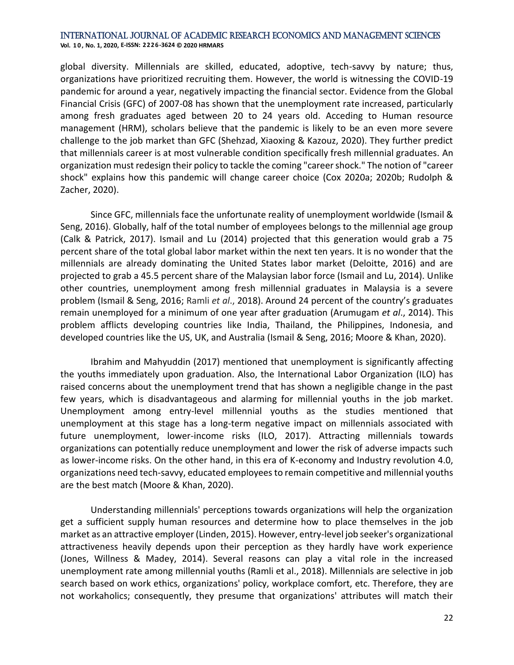global diversity. Millennials are skilled, educated, adoptive, tech-savvy by nature; thus, organizations have prioritized recruiting them. However, the world is witnessing the COVID-19 pandemic for around a year, negatively impacting the financial sector. Evidence from the Global Financial Crisis (GFC) of 2007-08 has shown that the unemployment rate increased, particularly among fresh graduates aged between 20 to 24 years old. Acceding to Human resource management (HRM), scholars believe that the pandemic is likely to be an even more severe challenge to the job market than GFC (Shehzad, Xiaoxing & Kazouz, 2020). They further predict that millennials career is at most vulnerable condition specifically fresh millennial graduates. An organization must redesign their policy to tackle the coming "career shock." The notion of "career shock" explains how this pandemic will change career choice (Cox 2020a; 2020b; Rudolph & Zacher, 2020).

Since GFC, millennials face the unfortunate reality of unemployment worldwide (Ismail & Seng, 2016). Globally, half of the total number of employees belongs to the millennial age group (Calk & Patrick, 2017). Ismail and Lu (2014) projected that this generation would grab a 75 percent share of the total global labor market within the next ten years. It is no wonder that the millennials are already dominating the United States labor market (Deloitte, 2016) and are projected to grab a 45.5 percent share of the Malaysian labor force (Ismail and Lu, 2014). Unlike other countries, unemployment among fresh millennial graduates in Malaysia is a severe problem (Ismail & Seng, 2016; Ramli *et al*., 2018). Around 24 percent of the country's graduates remain unemployed for a minimum of one year after graduation (Arumugam *et al*., 2014). This problem afflicts developing countries like India, Thailand, the Philippines, Indonesia, and developed countries like the US, UK, and Australia (Ismail & Seng, 2016; Moore & Khan, 2020).

Ibrahim and Mahyuddin (2017) mentioned that unemployment is significantly affecting the youths immediately upon graduation. Also, the International Labor Organization (ILO) has raised concerns about the unemployment trend that has shown a negligible change in the past few years, which is disadvantageous and alarming for millennial youths in the job market. Unemployment among entry-level millennial youths as the studies mentioned that unemployment at this stage has a long-term negative impact on millennials associated with future unemployment, lower-income risks (ILO, 2017). Attracting millennials towards organizations can potentially reduce unemployment and lower the risk of adverse impacts such as lower-income risks. On the other hand, in this era of K-economy and Industry revolution 4.0, organizations need tech-savvy, educated employees to remain competitive and millennial youths are the best match (Moore & Khan, 2020).

Understanding millennials' perceptions towards organizations will help the organization get a sufficient supply human resources and determine how to place themselves in the job market as an attractive employer (Linden, 2015). However, entry-level job seeker's organizational attractiveness heavily depends upon their perception as they hardly have work experience (Jones, Willness & Madey, 2014). Several reasons can play a vital role in the increased unemployment rate among millennial youths (Ramli et al., 2018). Millennials are selective in job search based on work ethics, organizations' policy, workplace comfort, etc. Therefore, they are not workaholics; consequently, they presume that organizations' attributes will match their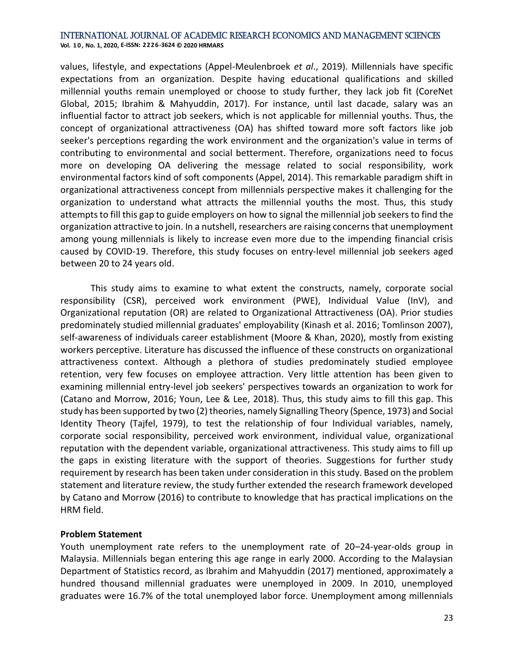**Vol. 1 0 , No. 1, 2020, E-ISSN: 2226-3624 © 2020 HRMARS**

values, lifestyle, and expectations (Appel-Meulenbroek *et al*., 2019). Millennials have specific expectations from an organization. Despite having educational qualifications and skilled millennial youths remain unemployed or choose to study further, they lack job fit (CoreNet Global, 2015; Ibrahim & Mahyuddin, 2017). For instance, until last dacade, salary was an influential factor to attract job seekers, which is not applicable for millennial youths. Thus, the concept of organizational attractiveness (OA) has shifted toward more soft factors like job seeker's perceptions regarding the work environment and the organization's value in terms of contributing to environmental and social betterment. Therefore, organizations need to focus more on developing OA delivering the message related to social responsibility, work environmental factors kind of soft components (Appel, 2014). This remarkable paradigm shift in organizational attractiveness concept from millennials perspective makes it challenging for the organization to understand what attracts the millennial youths the most. Thus, this study attempts to fill this gap to guide employers on how to signal the millennial job seekers to find the organization attractive to join. In a nutshell, researchers are raising concerns that unemployment among young millennials is likely to increase even more due to the impending financial crisis caused by COVID-19. Therefore, this study focuses on entry-level millennial job seekers aged between 20 to 24 years old.

This study aims to examine to what extent the constructs, namely, corporate social responsibility (CSR), perceived work environment (PWE), Individual Value (InV), and Organizational reputation (OR) are related to Organizational Attractiveness (OA). Prior studies predominately studied millennial graduates' employability (Kinash et al. 2016; Tomlinson 2007), self-awareness of individuals career establishment (Moore & Khan, 2020), mostly from existing workers perceptive. Literature has discussed the influence of these constructs on organizational attractiveness context. Although a plethora of studies predominately studied employee retention, very few focuses on employee attraction. Very little attention has been given to examining millennial entry-level job seekers' perspectives towards an organization to work for (Catano and Morrow, 2016; Youn, Lee & Lee, 2018). Thus, this study aims to fill this gap. This study has been supported by two (2) theories, namely Signalling Theory (Spence, 1973) and Social Identity Theory (Tajfel, 1979), to test the relationship of four Individual variables, namely, corporate social responsibility, perceived work environment, individual value, organizational reputation with the dependent variable, organizational attractiveness. This study aims to fill up the gaps in existing literature with the support of theories. Suggestions for further study requirement by research has been taken under consideration in this study. Based on the problem statement and literature review, the study further extended the research framework developed by Catano and Morrow (2016) to contribute to knowledge that has practical implications on the HRM field.

## **Problem Statement**

Youth unemployment rate refers to the unemployment rate of 20–24-year-olds group in Malaysia. Millennials began entering this age range in early 2000. According to the Malaysian Department of Statistics record, as Ibrahim and Mahyuddin (2017) mentioned, approximately a hundred thousand millennial graduates were unemployed in 2009. In 2010, unemployed graduates were 16.7% of the total unemployed labor force. Unemployment among millennials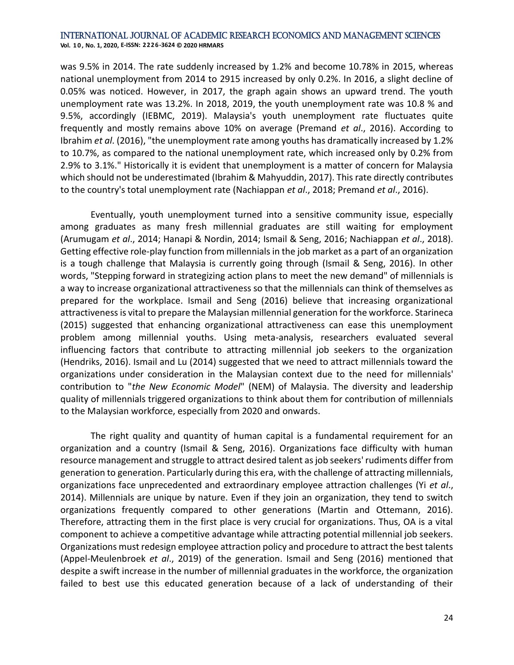was 9.5% in 2014. The rate suddenly increased by 1.2% and become 10.78% in 2015, whereas national unemployment from 2014 to 2915 increased by only 0.2%. In 2016, a slight decline of 0.05% was noticed. However, in 2017, the graph again shows an upward trend. The youth unemployment rate was 13.2%. In 2018, 2019, the youth unemployment rate was 10.8 % and 9.5%, accordingly (IEBMC, 2019). Malaysia's youth unemployment rate fluctuates quite frequently and mostly remains above 10% on average (Premand *et al*., 2016). According to Ibrahim *et al*. (2016), "the unemployment rate among youths has dramatically increased by 1.2% to 10.7%, as compared to the national unemployment rate, which increased only by 0.2% from 2.9% to 3.1%." Historically it is evident that unemployment is a matter of concern for Malaysia which should not be underestimated (Ibrahim & Mahyuddin, 2017). This rate directly contributes to the country's total unemployment rate (Nachiappan *et al*., 2018; Premand *et al*., 2016).

Eventually, youth unemployment turned into a sensitive community issue, especially among graduates as many fresh millennial graduates are still waiting for employment (Arumugam *et al*., 2014; Hanapi & Nordin, 2014; Ismail & Seng, 2016; Nachiappan *et al*., 2018). Getting effective role-play function from millennials in the job market as a part of an organization is a tough challenge that Malaysia is currently going through (Ismail & Seng, 2016). In other words, "Stepping forward in strategizing action plans to meet the new demand" of millennials is a way to increase organizational attractiveness so that the millennials can think of themselves as prepared for the workplace. Ismail and Seng (2016) believe that increasing organizational attractiveness is vital to prepare the Malaysian millennial generation for the workforce. Starineca (2015) suggested that enhancing organizational attractiveness can ease this unemployment problem among millennial youths. Using meta-analysis, researchers evaluated several influencing factors that contribute to attracting millennial job seekers to the organization (Hendriks, 2016). Ismail and Lu (2014) suggested that we need to attract millennials toward the organizations under consideration in the Malaysian context due to the need for millennials' contribution to "*the New Economic Model*" (NEM) of Malaysia. The diversity and leadership quality of millennials triggered organizations to think about them for contribution of millennials to the Malaysian workforce, especially from 2020 and onwards.

The right quality and quantity of human capital is a fundamental requirement for an organization and a country (Ismail & Seng, 2016). Organizations face difficulty with human resource management and struggle to attract desired talent as job seekers' rudiments differ from generation to generation. Particularly during this era, with the challenge of attracting millennials, organizations face unprecedented and extraordinary employee attraction challenges (Yi *et al*., 2014). Millennials are unique by nature. Even if they join an organization, they tend to switch organizations frequently compared to other generations (Martin and Ottemann, 2016). Therefore, attracting them in the first place is very crucial for organizations. Thus, OA is a vital component to achieve a competitive advantage while attracting potential millennial job seekers. Organizations must redesign employee attraction policy and procedure to attract the best talents (Appel-Meulenbroek *et al*., 2019) of the generation. Ismail and Seng (2016) mentioned that despite a swift increase in the number of millennial graduates in the workforce, the organization failed to best use this educated generation because of a lack of understanding of their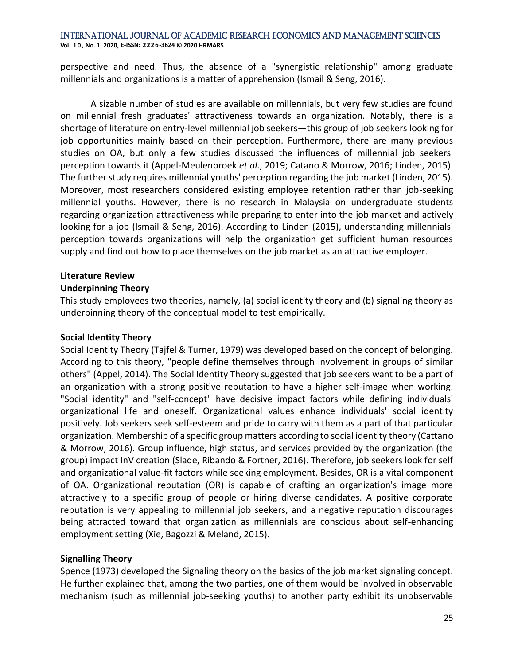perspective and need. Thus, the absence of a "synergistic relationship" among graduate millennials and organizations is a matter of apprehension (Ismail & Seng, 2016).

A sizable number of studies are available on millennials, but very few studies are found on millennial fresh graduates' attractiveness towards an organization. Notably, there is a shortage of literature on entry-level millennial job seekers—this group of job seekers looking for job opportunities mainly based on their perception. Furthermore, there are many previous studies on OA, but only a few studies discussed the influences of millennial job seekers' perception towards it (Appel-Meulenbroek *et al*., 2019; Catano & Morrow, 2016; Linden, 2015). The further study requires millennial youths' perception regarding the job market (Linden, 2015). Moreover, most researchers considered existing employee retention rather than job-seeking millennial youths. However, there is no research in Malaysia on undergraduate students regarding organization attractiveness while preparing to enter into the job market and actively looking for a job (Ismail & Seng, 2016). According to Linden (2015), understanding millennials' perception towards organizations will help the organization get sufficient human resources supply and find out how to place themselves on the job market as an attractive employer.

## **Literature Review**

## **Underpinning Theory**

This study employees two theories, namely, (a) social identity theory and (b) signaling theory as underpinning theory of the conceptual model to test empirically.

#### **Social Identity Theory**

Social Identity Theory (Tajfel & Turner, 1979) was developed based on the concept of belonging. According to this theory, "people define themselves through involvement in groups of similar others" (Appel, 2014). The Social Identity Theory suggested that job seekers want to be a part of an organization with a strong positive reputation to have a higher self-image when working. "Social identity" and "self-concept" have decisive impact factors while defining individuals' organizational life and oneself. Organizational values enhance individuals' social identity positively. Job seekers seek self-esteem and pride to carry with them as a part of that particular organization. Membership of a specific group matters according to social identity theory (Cattano & Morrow, 2016). Group influence, high status, and services provided by the organization (the group) impact InV creation (Slade, Ribando & Fortner, 2016). Therefore, job seekers look for self and organizational value-fit factors while seeking employment. Besides, OR is a vital component of OA. Organizational reputation (OR) is capable of crafting an organization's image more attractively to a specific group of people or hiring diverse candidates. A positive corporate reputation is very appealing to millennial job seekers, and a negative reputation discourages being attracted toward that organization as millennials are conscious about self-enhancing employment setting (Xie, Bagozzi & Meland, 2015).

## **Signalling Theory**

Spence (1973) developed the Signaling theory on the basics of the job market signaling concept. He further explained that, among the two parties, one of them would be involved in observable mechanism (such as millennial job-seeking youths) to another party exhibit its unobservable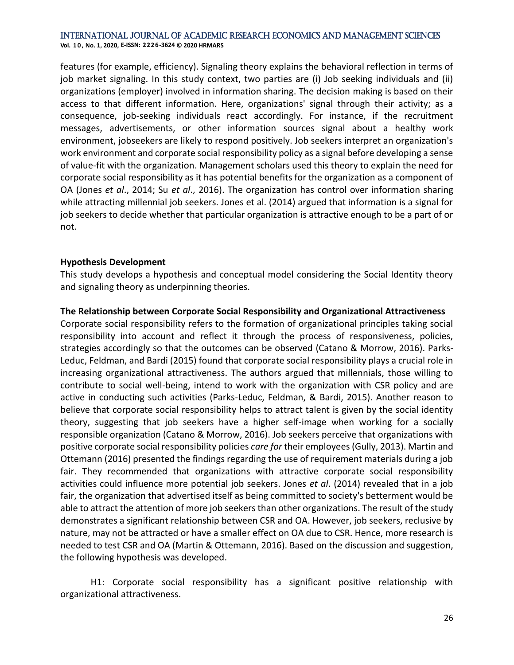features (for example, efficiency). Signaling theory explains the behavioral reflection in terms of job market signaling. In this study context, two parties are (i) Job seeking individuals and (ii) organizations (employer) involved in information sharing. The decision making is based on their access to that different information. Here, organizations' signal through their activity; as a consequence, job-seeking individuals react accordingly. For instance, if the recruitment messages, advertisements, or other information sources signal about a healthy work environment, jobseekers are likely to respond positively. Job seekers interpret an organization's work environment and corporate social responsibility policy as a signal before developing a sense of value-fit with the organization. Management scholars used this theory to explain the need for corporate social responsibility as it has potential benefits for the organization as a component of OA (Jones *et al*., 2014; Su *et al*., 2016). The organization has control over information sharing while attracting millennial job seekers. Jones et al. (2014) argued that information is a signal for job seekers to decide whether that particular organization is attractive enough to be a part of or not.

## **Hypothesis Development**

This study develops a hypothesis and conceptual model considering the Social Identity theory and signaling theory as underpinning theories.

## **The Relationship between Corporate Social Responsibility and Organizational Attractiveness**

Corporate social responsibility refers to the formation of organizational principles taking social responsibility into account and reflect it through the process of responsiveness, policies, strategies accordingly so that the outcomes can be observed (Catano & Morrow, 2016). Parks-Leduc, Feldman, and Bardi (2015) found that corporate social responsibility plays a crucial role in increasing organizational attractiveness. The authors argued that millennials, those willing to contribute to social well-being, intend to work with the organization with CSR policy and are active in conducting such activities (Parks-Leduc, Feldman, & Bardi, 2015). Another reason to believe that corporate social responsibility helps to attract talent is given by the social identity theory, suggesting that job seekers have a higher self-image when working for a socially responsible organization (Catano & Morrow, 2016). Job seekers perceive that organizations with positive corporate social responsibility policies *care for* their employees (Gully, 2013). Martin and Ottemann (2016) presented the findings regarding the use of requirement materials during a job fair. They recommended that organizations with attractive corporate social responsibility activities could influence more potential job seekers. Jones *et al*. (2014) revealed that in a job fair, the organization that advertised itself as being committed to society's betterment would be able to attract the attention of more job seekers than other organizations. The result of the study demonstrates a significant relationship between CSR and OA. However, job seekers, reclusive by nature, may not be attracted or have a smaller effect on OA due to CSR. Hence, more research is needed to test CSR and OA (Martin & Ottemann, 2016). Based on the discussion and suggestion, the following hypothesis was developed.

H1: Corporate social responsibility has a significant positive relationship with organizational attractiveness.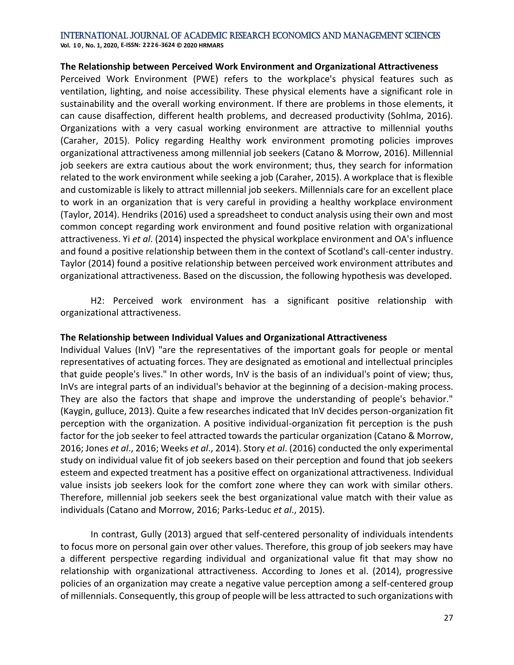**Vol. 1 0 , No. 1, 2020, E-ISSN: 2226-3624 © 2020 HRMARS**

#### **The Relationship between Perceived Work Environment and Organizational Attractiveness**

Perceived Work Environment (PWE) refers to the workplace's physical features such as ventilation, lighting, and noise accessibility. These physical elements have a significant role in sustainability and the overall working environment. If there are problems in those elements, it can cause disaffection, different health problems, and decreased productivity (Sohlma, 2016). Organizations with a very casual working environment are attractive to millennial youths (Caraher, 2015). Policy regarding Healthy work environment promoting policies improves organizational attractiveness among millennial job seekers (Catano & Morrow, 2016). Millennial job seekers are extra cautious about the work environment; thus, they search for information related to the work environment while seeking a job (Caraher, 2015). A workplace that is flexible and customizable is likely to attract millennial job seekers. Millennials care for an excellent place to work in an organization that is very careful in providing a healthy workplace environment (Taylor, 2014). Hendriks (2016) used a spreadsheet to conduct analysis using their own and most common concept regarding work environment and found positive relation with organizational attractiveness. Yi *et al*. (2014) inspected the physical workplace environment and OA's influence and found a positive relationship between them in the context of Scotland's call-center industry. Taylor (2014) found a positive relationship between perceived work environment attributes and organizational attractiveness. Based on the discussion, the following hypothesis was developed.

H2: Perceived work environment has a significant positive relationship with organizational attractiveness.

## **The Relationship between Individual Values and Organizational Attractiveness**

Individual Values (InV) "are the representatives of the important goals for people or mental representatives of actuating forces. They are designated as emotional and intellectual principles that guide people's lives." In other words, InV is the basis of an individual's point of view; thus, InVs are integral parts of an individual's behavior at the beginning of a decision-making process. They are also the factors that shape and improve the understanding of people's behavior." (Kaygin, gulluce, 2013). Quite a few researches indicated that InV decides person-organization fit perception with the organization. A positive individual-organization fit perception is the push factor for the job seeker to feel attracted towards the particular organization (Catano & Morrow, 2016; Jones *et al*., 2016; Weeks *et al*., 2014). Story *et al*. (2016) conducted the only experimental study on individual value fit of job seekers based on their perception and found that job seekers esteem and expected treatment has a positive effect on organizational attractiveness. Individual value insists job seekers look for the comfort zone where they can work with similar others. Therefore, millennial job seekers seek the best organizational value match with their value as individuals (Catano and Morrow, 2016; Parks-Leduc *et al*., 2015).

In contrast, Gully (2013) argued that self-centered personality of individuals intendents to focus more on personal gain over other values. Therefore, this group of job seekers may have a different perspective regarding individual and organizational value fit that may show no relationship with organizational attractiveness. According to Jones et al. (2014), progressive policies of an organization may create a negative value perception among a self-centered group of millennials. Consequently, this group of people will be less attracted to such organizations with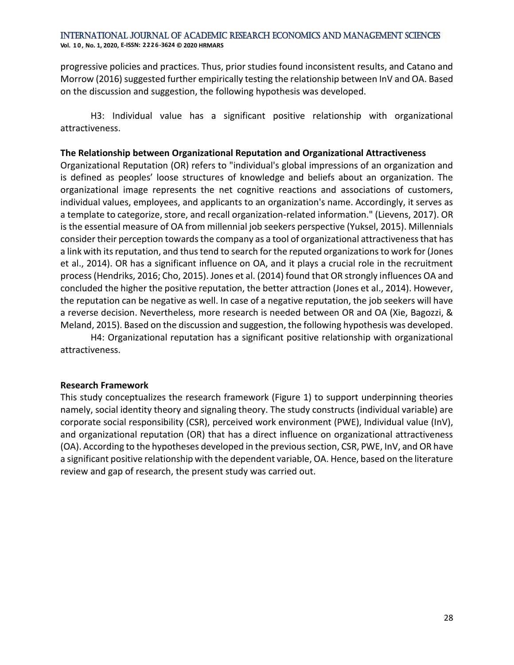progressive policies and practices. Thus, prior studies found inconsistent results, and Catano and Morrow (2016) suggested further empirically testing the relationship between InV and OA. Based on the discussion and suggestion, the following hypothesis was developed.

H3: Individual value has a significant positive relationship with organizational attractiveness.

#### **The Relationship between Organizational Reputation and Organizational Attractiveness**

Organizational Reputation (OR) refers to "individual's global impressions of an organization and is defined as peoples' loose structures of knowledge and beliefs about an organization. The organizational image represents the net cognitive reactions and associations of customers, individual values, employees, and applicants to an organization's name. Accordingly, it serves as a template to categorize, store, and recall organization-related information." (Lievens, 2017). OR is the essential measure of OA from millennial job seekers perspective (Yuksel, 2015). Millennials consider their perception towards the company as a tool of organizational attractiveness that has a link with its reputation, and thus tend to search for the reputed organizations to work for (Jones et al., 2014). OR has a significant influence on OA, and it plays a crucial role in the recruitment process (Hendriks, 2016; Cho, 2015). Jones et al. (2014) found that OR strongly influences OA and concluded the higher the positive reputation, the better attraction (Jones et al., 2014). However, the reputation can be negative as well. In case of a negative reputation, the job seekers will have a reverse decision. Nevertheless, more research is needed between OR and OA (Xie, Bagozzi, & Meland, 2015). Based on the discussion and suggestion, the following hypothesis was developed.

H4: Organizational reputation has a significant positive relationship with organizational attractiveness.

#### **Research Framework**

This study conceptualizes the research framework (Figure 1) to support underpinning theories namely, social identity theory and signaling theory. The study constructs (individual variable) are corporate social responsibility (CSR), perceived work environment (PWE), Individual value (InV), and organizational reputation (OR) that has a direct influence on organizational attractiveness (OA). According to the hypotheses developed in the previous section, CSR, PWE, InV, and OR have a significant positive relationship with the dependent variable, OA. Hence, based on the literature review and gap of research, the present study was carried out.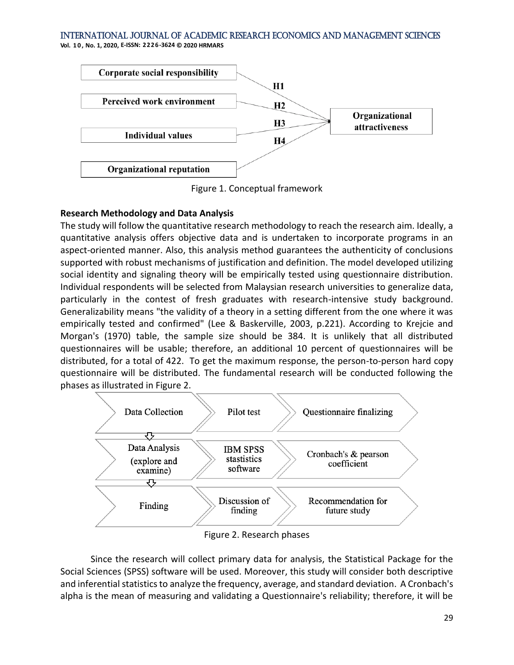**Vol. 1 0 , No. 1, 2020, E-ISSN: 2226-3624 © 2020 HRMARS**



Figure 1. Conceptual framework

## **Research Methodology and Data Analysis**

The study will follow the quantitative research methodology to reach the research aim. Ideally, a quantitative analysis offers objective data and is undertaken to incorporate programs in an aspect-oriented manner. Also, this analysis method guarantees the authenticity of conclusions supported with robust mechanisms of justification and definition. The model developed utilizing social identity and signaling theory will be empirically tested using questionnaire distribution. Individual respondents will be selected from Malaysian research universities to generalize data, particularly in the contest of fresh graduates with research-intensive study background. Generalizability means "the validity of a theory in a setting different from the one where it was empirically tested and confirmed" (Lee & Baskerville, 2003, p.221). According to Krejcie and Morgan's (1970) table, the sample size should be 384. It is unlikely that all distributed questionnaires will be usable; therefore, an additional 10 percent of questionnaires will be distributed, for a total of 422. To get the maximum response, the person-to-person hard copy questionnaire will be distributed. The fundamental research will be conducted following the phases as illustrated in Figure 2.



Figure 2. Research phases

Since the research will collect primary data for analysis, the Statistical Package for the Social Sciences (SPSS) software will be used. Moreover, this study will consider both descriptive and inferential statistics to analyze the frequency, average, and standard deviation. A Cronbach's alpha is the mean of measuring and validating a Questionnaire's reliability; therefore, it will be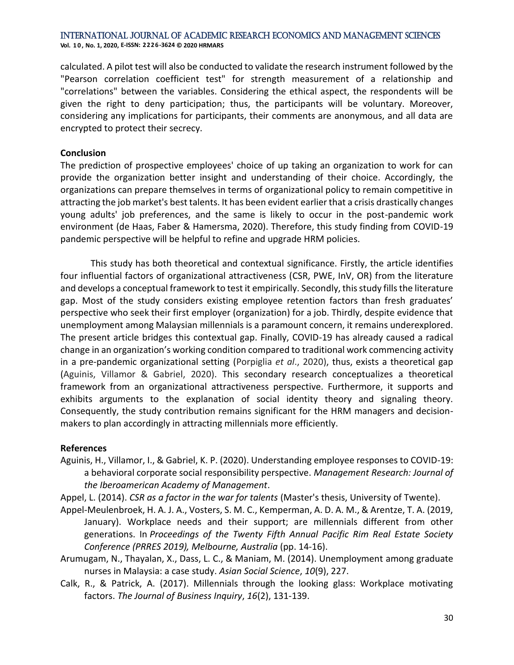calculated. A pilot test will also be conducted to validate the research instrument followed by the "Pearson correlation coefficient test" for strength measurement of a relationship and "correlations" between the variables. Considering the ethical aspect, the respondents will be given the right to deny participation; thus, the participants will be voluntary. Moreover, considering any implications for participants, their comments are anonymous, and all data are encrypted to protect their secrecy.

## **Conclusion**

The prediction of prospective employees' choice of up taking an organization to work for can provide the organization better insight and understanding of their choice. Accordingly, the organizations can prepare themselves in terms of organizational policy to remain competitive in attracting the job market's best talents. It has been evident earlier that a crisis drastically changes young adults' job preferences, and the same is likely to occur in the post-pandemic work environment (de Haas, Faber & Hamersma, 2020). Therefore, this study finding from COVID-19 pandemic perspective will be helpful to refine and upgrade HRM policies.

This study has both theoretical and contextual significance. Firstly, the article identifies four influential factors of organizational attractiveness (CSR, PWE, InV, OR) from the literature and develops a conceptual framework to test it empirically. Secondly, this study fills the literature gap. Most of the study considers existing employee retention factors than fresh graduates' perspective who seek their first employer (organization) for a job. Thirdly, despite evidence that unemployment among Malaysian millennials is a paramount concern, it remains underexplored. The present article bridges this contextual gap. Finally, COVID-19 has already caused a radical change in an organization's working condition compared to traditional work commencing activity in a pre-pandemic organizational setting (Porpiglia *et al*., 2020), thus, exists a theoretical gap (Aguinis, Villamor & Gabriel, 2020). This secondary research conceptualizes a theoretical framework from an organizational attractiveness perspective. Furthermore, it supports and exhibits arguments to the explanation of social identity theory and signaling theory. Consequently, the study contribution remains significant for the HRM managers and decisionmakers to plan accordingly in attracting millennials more efficiently.

## **References**

- Aguinis, H., Villamor, I., & Gabriel, K. P. (2020). Understanding employee responses to COVID-19: a behavioral corporate social responsibility perspective. *Management Research: Journal of the Iberoamerican Academy of Management*.
- Appel, L. (2014). *CSR as a factor in the war for talents* (Master's thesis, University of Twente).
- Appel-Meulenbroek, H. A. J. A., Vosters, S. M. C., Kemperman, A. D. A. M., & Arentze, T. A. (2019, January). Workplace needs and their support; are millennials different from other generations. In *Proceedings of the Twenty Fifth Annual Pacific Rim Real Estate Society Conference (PRRES 2019), Melbourne, Australia* (pp. 14-16).
- Arumugam, N., Thayalan, X., Dass, L. C., & Maniam, M. (2014). Unemployment among graduate nurses in Malaysia: a case study. *Asian Social Science*, *10*(9), 227.
- Calk, R., & Patrick, A. (2017). Millennials through the looking glass: Workplace motivating factors. *The Journal of Business Inquiry*, *16*(2), 131-139.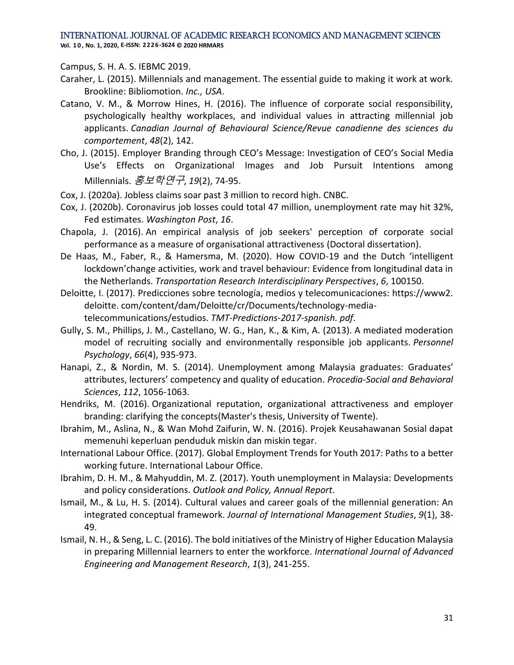**Vol. 1 0 , No. 1, 2020, E-ISSN: 2226-3624 © 2020 HRMARS**

Campus, S. H. A. S. IEBMC 2019.

- Caraher, L. (2015). Millennials and management. The essential guide to making it work at work. Brookline: Bibliomotion. *Inc., USA*.
- Catano, V. M., & Morrow Hines, H. (2016). The influence of corporate social responsibility, psychologically healthy workplaces, and individual values in attracting millennial job applicants. *Canadian Journal of Behavioural Science/Revue canadienne des sciences du comportement*, *48*(2), 142.
- Cho, J. (2015). Employer Branding through CEO's Message: Investigation of CEO's Social Media Use's Effects on Organizational Images and Job Pursuit Intentions among Millennials. 홍보학연구, *19*(2), 74-95.
- Cox, J. (2020a). Jobless claims soar past 3 million to record high. CNBC.
- Cox, J. (2020b). Coronavirus job losses could total 47 million, unemployment rate may hit 32%, Fed estimates. *Washington Post*, *16*.
- Chapola, J. (2016). An empirical analysis of job seekers' perception of corporate social performance as a measure of organisational attractiveness (Doctoral dissertation).
- De Haas, M., Faber, R., & Hamersma, M. (2020). How COVID-19 and the Dutch 'intelligent lockdown'change activities, work and travel behaviour: Evidence from longitudinal data in the Netherlands. *Transportation Research Interdisciplinary Perspectives*, *6*, 100150.
- Deloitte, I. (2017). Predicciones sobre tecnología, medios y telecomunicaciones: https://www2. deloitte. com/content/dam/Deloitte/cr/Documents/technology-mediatelecommunications/estudios. *TMT-Predictions-2017-spanish. pdf*.
- Gully, S. M., Phillips, J. M., Castellano, W. G., Han, K., & Kim, A. (2013). A mediated moderation model of recruiting socially and environmentally responsible job applicants. *Personnel Psychology*, *66*(4), 935-973.
- Hanapi, Z., & Nordin, M. S. (2014). Unemployment among Malaysia graduates: Graduates' attributes, lecturers' competency and quality of education. *Procedia-Social and Behavioral Sciences*, *112*, 1056-1063.
- Hendriks, M. (2016). Organizational reputation, organizational attractiveness and employer branding: clarifying the concepts(Master's thesis, University of Twente).
- Ibrahim, M., Aslina, N., & Wan Mohd Zaifurin, W. N. (2016). Projek Keusahawanan Sosial dapat memenuhi keperluan penduduk miskin dan miskin tegar.
- International Labour Office. (2017). Global Employment Trends for Youth 2017: Paths to a better working future. International Labour Office.
- Ibrahim, D. H. M., & Mahyuddin, M. Z. (2017). Youth unemployment in Malaysia: Developments and policy considerations. *Outlook and Policy, Annual Report*.
- Ismail, M., & Lu, H. S. (2014). Cultural values and career goals of the millennial generation: An integrated conceptual framework. *Journal of International Management Studies*, *9*(1), 38- 49.
- Ismail, N. H., & Seng, L. C. (2016). The bold initiatives of the Ministry of Higher Education Malaysia in preparing Millennial learners to enter the workforce. *International Journal of Advanced Engineering and Management Research*, *1*(3), 241-255.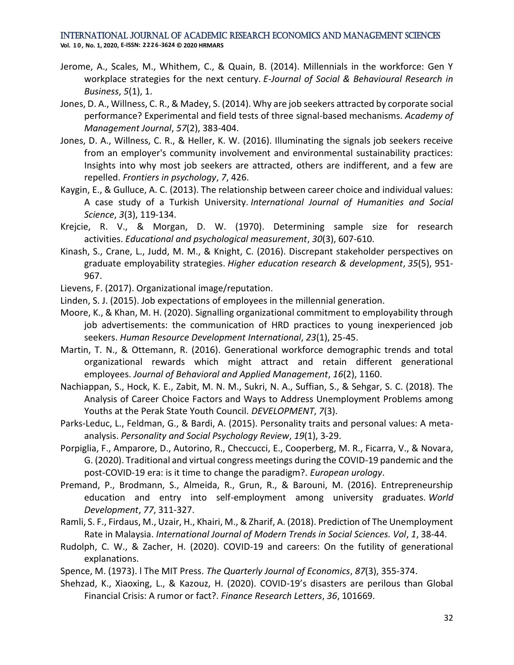- Jerome, A., Scales, M., Whithem, C., & Quain, B. (2014). Millennials in the workforce: Gen Y workplace strategies for the next century. *E-Journal of Social & Behavioural Research in Business*, *5*(1), 1.
- Jones, D. A., Willness, C. R., & Madey, S. (2014). Why are job seekers attracted by corporate social performance? Experimental and field tests of three signal-based mechanisms. *Academy of Management Journal*, *57*(2), 383-404.
- Jones, D. A., Willness, C. R., & Heller, K. W. (2016). Illuminating the signals job seekers receive from an employer's community involvement and environmental sustainability practices: Insights into why most job seekers are attracted, others are indifferent, and a few are repelled. *Frontiers in psychology*, *7*, 426.
- Kaygin, E., & Gulluce, A. C. (2013). The relationship between career choice and individual values: A case study of a Turkish University. *International Journal of Humanities and Social Science*, *3*(3), 119-134.
- Krejcie, R. V., & Morgan, D. W. (1970). Determining sample size for research activities. *Educational and psychological measurement*, *30*(3), 607-610.
- Kinash, S., Crane, L., Judd, M. M., & Knight, C. (2016). Discrepant stakeholder perspectives on graduate employability strategies. *Higher education research & development*, *35*(5), 951- 967.
- Lievens, F. (2017). Organizational image/reputation.
- Linden, S. J. (2015). Job expectations of employees in the millennial generation.
- Moore, K., & Khan, M. H. (2020). Signalling organizational commitment to employability through job advertisements: the communication of HRD practices to young inexperienced job seekers. *Human Resource Development International*, *23*(1), 25-45.
- Martin, T. N., & Ottemann, R. (2016). Generational workforce demographic trends and total organizational rewards which might attract and retain different generational employees. *Journal of Behavioral and Applied Management*, *16*(2), 1160.
- Nachiappan, S., Hock, K. E., Zabit, M. N. M., Sukri, N. A., Suffian, S., & Sehgar, S. C. (2018). The Analysis of Career Choice Factors and Ways to Address Unemployment Problems among Youths at the Perak State Youth Council. *DEVELOPMENT*, *7*(3).
- Parks-Leduc, L., Feldman, G., & Bardi, A. (2015). Personality traits and personal values: A metaanalysis. *Personality and Social Psychology Review*, *19*(1), 3-29.
- Porpiglia, F., Amparore, D., Autorino, R., Checcucci, E., Cooperberg, M. R., Ficarra, V., & Novara, G. (2020). Traditional and virtual congress meetings during the COVID-19 pandemic and the post-COVID-19 era: is it time to change the paradigm?. *European urology*.
- Premand, P., Brodmann, S., Almeida, R., Grun, R., & Barouni, M. (2016). Entrepreneurship education and entry into self-employment among university graduates. *World Development*, *77*, 311-327.
- Ramli, S. F., Firdaus, M., Uzair, H., Khairi, M., & Zharif, A. (2018). Prediction of The Unemployment Rate in Malaysia. *International Journal of Modern Trends in Social Sciences. Vol*, *1*, 38-44.
- Rudolph, C. W., & Zacher, H. (2020). COVID-19 and careers: On the futility of generational explanations.
- Spence, M. (1973). l The MIT Press. *The Quarterly Journal of Economics*, *87*(3), 355-374.
- Shehzad, K., Xiaoxing, L., & Kazouz, H. (2020). COVID-19's disasters are perilous than Global Financial Crisis: A rumor or fact?. *Finance Research Letters*, *36*, 101669.